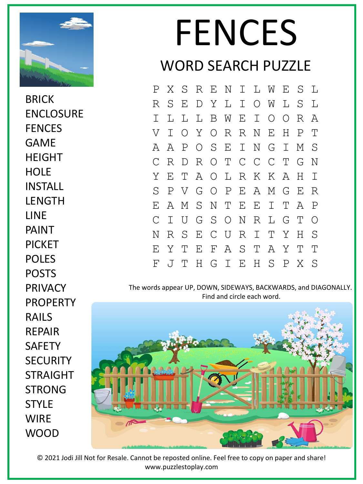

**BRICK** ENCLOSURE **FENCES** GAME HEIGHT **HOLF** INSTALL **LENGTH LINE** PAINT PICKET POLES POSTS PRIVACY PROPERTY RAILS REPAIR **SAFFTY SECURITY** STRAIGHT STRONG **STYLF WIRF** WOOD

## FENCES WORD SEARCH PUZZLE

P X S R E N I L W E S L R S E D Y L I O W L S L I L L L B W E I O O R A V I O Y O R R N E H P T A A P O S E I N G I M S C R D R O T C C C T G N Y E T A O L R K K A H I S P V G O P E A M G E R E A M S N T E E I T A P C I U G S O N R L G T O N R S E C U R I T Y H S E Y T E F A S T A Y T T F J T H G I E H S P X S

The words appear UP, DOWN, SIDEWAYS, BACKWARDS, and DIAGONALLY. Find and circle each word.



© 2021 Jodi Jill Not for Resale. Cannot be reposted online. Feel free to copy on paper and share! www.puzzlestoplay.com